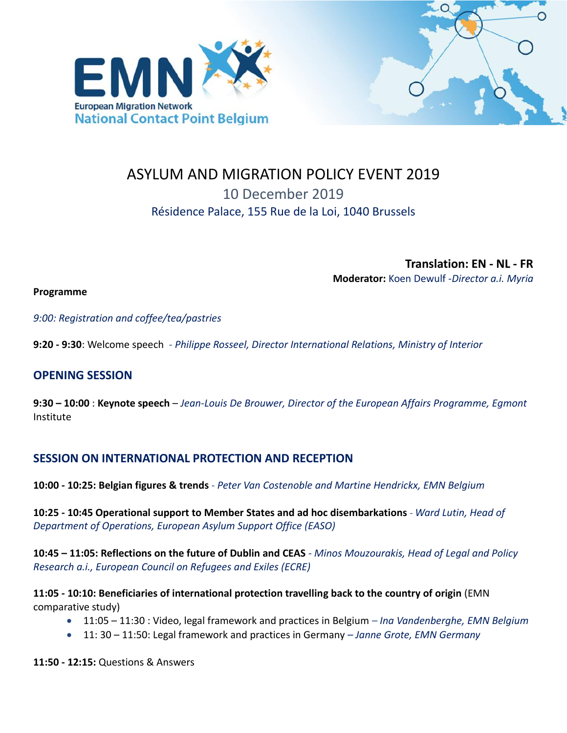



# ASYLUM AND MIGRATION POLICY EVENT 2019 10 December 2019 Résidence Palace, 155 Rue de la Loi, 1040 Brussels

**Translation: EN - NL - FR Moderator:** Koen Dewulf -*Director a.i. Myria*

**Programme**

*9:00: Registration and coffee/tea/pastries*

**9:20 - 9:30**: Welcome speech *- Philippe Rosseel, Director International Relations, Ministry of Interior* 

## **OPENING SESSION**

**9:30 – 10:00** : **Keynote speech** – *Jean-Louis De Brouwer, Director of the European Affairs Programme, Egmont* Institute

## **SESSION ON INTERNATIONAL PROTECTION AND RECEPTION**

**10:00 - 10:25: Belgian figures & trends** *- Peter Van Costenoble and Martine Hendrickx, EMN Belgium*

**10:25 - 10:45 Operational support to Member States and ad hoc disembarkations** - *Ward Lutin, Head of Department of Operations, European Asylum Support Office (EASO)*

**10:45 – 11:05: Reflections on the future of Dublin and CEAS** *- Minos Mouzourakis, Head of Legal and Policy Research a.i., European Council on Refugees and Exiles (ECRE)*

**11:05 - 10:10: Beneficiaries of international protection travelling back to the country of origin** (EMN comparative study)

- 11:05 11:30 : Video, legal framework and practices in Belgium *– Ina Vandenberghe, EMN Belgium*
- 11: 30 11:50: Legal framework and practices in Germany *– Janne Grote, EMN Germany*

**11:50 - 12:15:** Questions & Answers